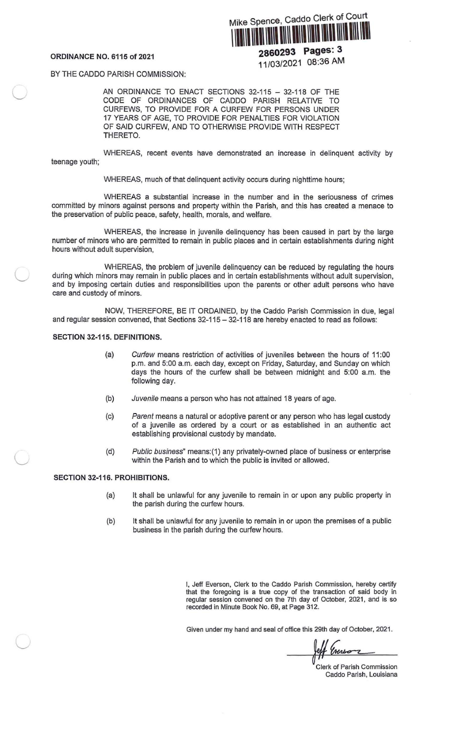*(\_)*

G

 $\subset$ 

Mike Spence, Caddo Clerk of Court I111111111111111111111111111111111111111111111\Ill

ORDINANCE NO. 6115 of 2021 **2860293 Pages: 3** 11/03/2021 08:36 AM

BY THE CADDO PARISH COMMISSION:

AN ORDINANCE TO ENACT SECTIONS 32-115 - 32-118 OF THE CODE OF ORDINANCES OF CADDO PARISH RELATIVE TO CURFEWS, TO PROVIDE FOR A CURFEW FOR PERSONS UNDER 17 YEARS OF AGE, TO PROVIDE FOR PENALTIES FOR VIOLATION OF SAID CURFEW, AND TO OTHERWISE PROVIDE WITH RESPECT THERETO.

teenage youth; WHEREAS, recent events have demonstrated an increase in delinquent activity by

WHEREAS, much of that delinquent activity occurs during nighttime hours;

WHEREAS a substantial increase in the number and in the seriousness of crimes committed by minors against persons and property within the Parish, and this has created a menace to the preservation of public peace, safety, health, morals, and welfare.

WHEREAS, the increase in juvenile delinquency has been caused in part by the large number of minors who are permitted to remain in public places and in certain establishments during night hours without adult supervision,

WHEREAS, the problem of juvenile delinquency can be reduced by regulating the hours during which minors may remain in public places and in certain establishments without adult supervision, and by imposing certain duties and responsibilities upon the parents or other adult persons who have care and custody of minors.

NOW, THEREFORE, BE IT ORDAINED, by the Caddo Parish Commission in due, legal and regular session convened, that Sections  $32-115 - 32-118$  are hereby enacted to read as follows:

## SECTION 32-115. DEFINITIONS.

- (a) Curfew means restriction of activities of juveniles between the hours of 11:00 p.m. and 5:00 a.m. each day, except on Friday, Saturday, and Sunday on which days the hours of the curfew shall be between midnight and 5:00 a.m. the following day.
- (b) Juvenile means a person who has not attained 18 years of age.
- (c) Parent means a natural or adoptive parent or any person who has legal custody of a juvenile as ordered by a court or as established in an authentic act establishing provisional custody by mandate.
- (d) Public business" means:(1) any privately-owned place of business or enterprise within the Parish and to which the public is invited or allowed.

# SECTION 32-116. PROHIBITIONS.

- (a) It shall be unlawful for any juvenile to remain in or upon any public property in the parish during the curfew hours.
- (b) It shall be unlawful for any juvenile to remain in or upon the premises of a public business in the parish during the curfew hours.

I, Jeff Everson, Clerk to the Caddo Parish Commission, hereby certify that the foregoing is a true copy of the transaction of said body in regular session convened on the 7th day of October, 2021, and is so recorded in Minute Book No. 69, at Page 312.

Given under my hand and seal of office this 29th day of October, 2021 .

reff Everson

Clerk of Parish Commission Caddo Parish, Louisiana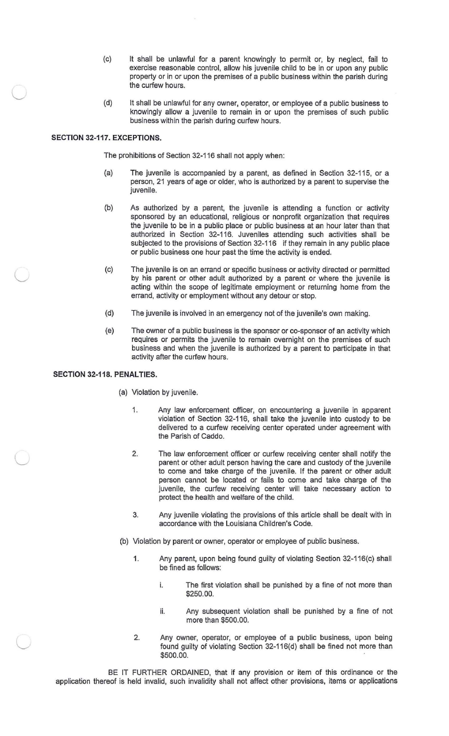- (c) It shall be unlawful for a parent knowingly to permit or, by neglect, fail to exercise reasonable control, allow his juvenile child to be in or upon any public property or in or upon the premises of a public business within the parish during the curfew hours.
- (d) It shall be unlawful for any owner, operator, or employee of a public business to knowingly allow a juvenile to remain in or upon the premises of such public business within the parish during curfew hours.

## **SECTION 32-117. EXCEPTIONS.**

 $\subset$ 

 $\subset$ 

 $\subset$ 

L

The prohibitions of Section 32-116 shall not apply when:

- (a) The juvenile is accompanied by a parent, as defined in Section 32-115 , or a person, 21 years of age or older, who is authorized by a parent to supervise the juvenile.
- (b) As authorized by a parent, the juvenile is attending a function or activity sponsored by an educational, religious or nonprofit organization that requires the juvenile to be in a public place or public business at an hour later than that authorized in Section 32-116. Juveniles attending such activities shall be subjected to the provisions of Section 32-116 if they remain in any public place or public business one hour past the time the activity is ended .
- (c) The juvenile is on an errand or specific business or activity directed or permitted by his parent or other adult authorized by a parent or where the juvenile is acting within the scope of legitimate employment or returning home from the errand, activity or employment without any detour or stop.
- (d) The juvenile is involved in an emergency not of the juvenile's own making.
- (e) The owner of a public business is the sponsor or co-sponsor of an activity which requires or permits the juvenile to remain overnight on the premises of such business and when the juvenile is authorized by a parent to participate in that activity after the curfew hours.

### **SECTION 32-118. PENALTIES.**

(a) Violation by juvenile.

- 1. Any law enforcement officer, on encountering a juvenile in apparent violation of Section 32-116, shall take the juvenile into custody to be delivered to a curfew receiving center operated under agreement with the Parish of Caddo.
- 2. The law enforcement officer or curfew receiving center shall notify the parent or other adult person having the care and custody of the juvenile to come and take charge of the juvenile. If the parent or other adult person cannot be located or fails to come and take charge of the juvenile, the curfew receiving center will take necessary action to protect the health and welfare of the child.
- 3. Any juvenile violating the provisions of this article shall be dealt with in accordance with the Louisiana Children's Code.
- (b) Violation by parent or owner, operator or employee of public business.
	- 1. Any parent, upon being found guilty of violating Section 32-1 16(c) shall be fined as follows:
		- i. The first violation shall be punished by a fine of not more than \$250.00.
		- ii. Any subsequent violation shall be punished by a fine of not more than \$500.00.
	- 2. Any owner, operator, or employee of a public business, upon being found guilty of violating Section 32-116(d) shall be fined not more than \$500.00.

BE IT FURTHER ORDAINED, that if any provision or item of this ordinance or the application thereof is held invalid, such invalidity shall not affect other provisions, items or applications